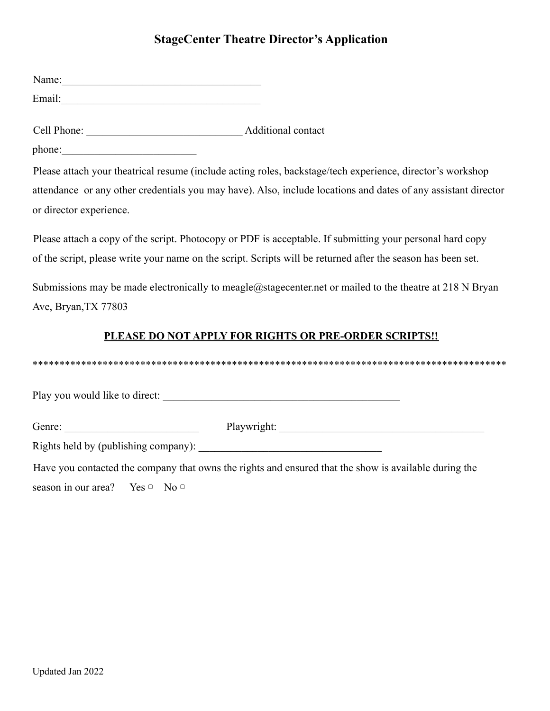## **StageCenter Theatre Director's Application**

| Name:  |  |  |  |
|--------|--|--|--|
| Email: |  |  |  |

Cell Phone: \_\_\_\_\_\_\_\_\_\_\_\_\_\_\_\_\_\_\_\_\_\_\_\_\_\_\_\_\_ Additional contact

phone:

Please attach your theatrical resume (include acting roles, backstage/tech experience, director's workshop attendance or any other credentials you may have). Also, include locations and dates of any assistant director or director experience.

Please attach a copy of the script. Photocopy or PDF is acceptable. If submitting your personal hard copy of the script, please write your name on the script. Scripts will be returned after the season has been set.

Submissions may be made electronically to meagle@stagecenter.net or mailed to the theatre at 218 N Bryan Ave, Bryan,TX 77803

## **PLEASE DO NOT APPLY FOR RIGHTS OR PRE-ORDER SCRIPTS!!**

\*\*\*\*\*\*\*\*\*\*\*\*\*\*\*\*\*\*\*\*\*\*\*\*\*\*\*\*\*\*\*\*\*\*\*\*\*\*\*\*\*\*\*\*\*\*\*\*\*\*\*\*\*\*\*\*\*\*\*\*\*\*\*\*\*\*\*\*\*\*\*\*\*\*\*\*\*\*\*\*\*\*\*\*\*\*\*\*

Play you would like to direct: \_\_\_\_\_\_\_\_\_\_\_\_\_\_\_\_\_\_\_\_\_\_\_\_\_\_\_\_\_\_\_\_\_\_\_\_\_\_\_\_\_\_\_\_

Genre: The Playwright:

Rights held by (publishing company):

Have you contacted the company that owns the rights and ensured that the show is available during the season in our area? Yes  $\circ$  No  $\circ$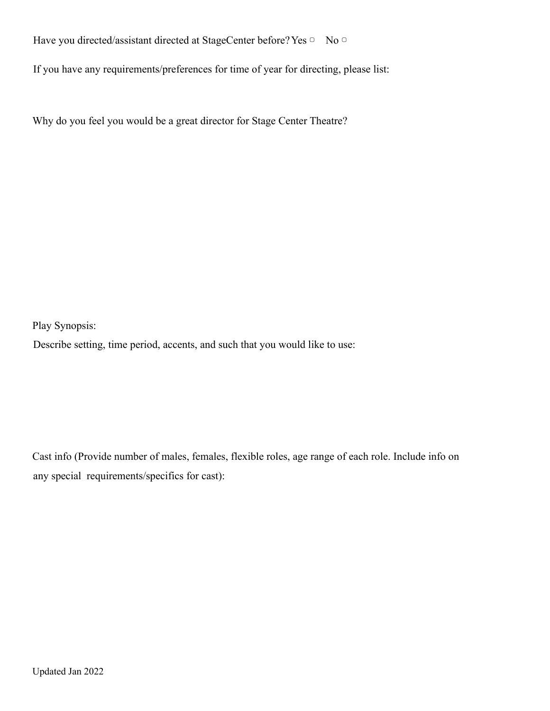Have you directed/assistant directed at StageCenter before? Yes □ No □

If you have any requirements/preferences for time of year for directing, please list:

Why do you feel you would be a great director for Stage Center Theatre?

Play Synopsis:

Describe setting, time period, accents, and such that you would like to use:

Cast info (Provide number of males, females, flexible roles, age range of each role. Include info on any special requirements/specifics for cast):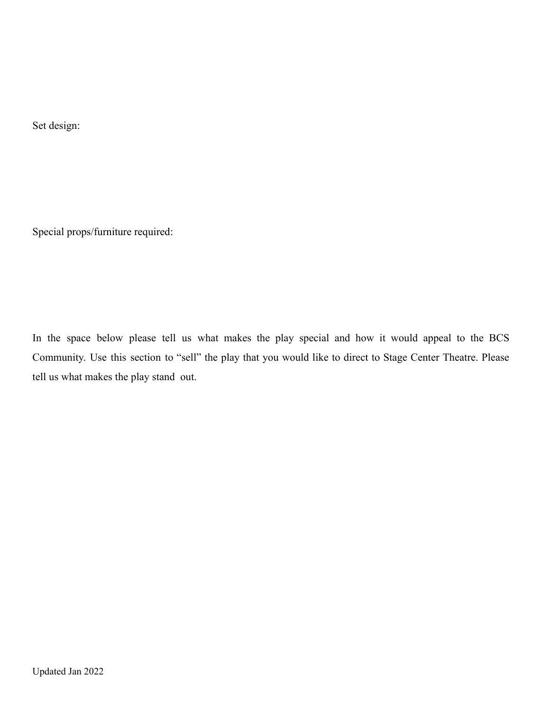Set design:

Special props/furniture required:

In the space below please tell us what makes the play special and how it would appeal to the BCS Community. Use this section to "sell" the play that you would like to direct to Stage Center Theatre. Please tell us what makes the play stand out.